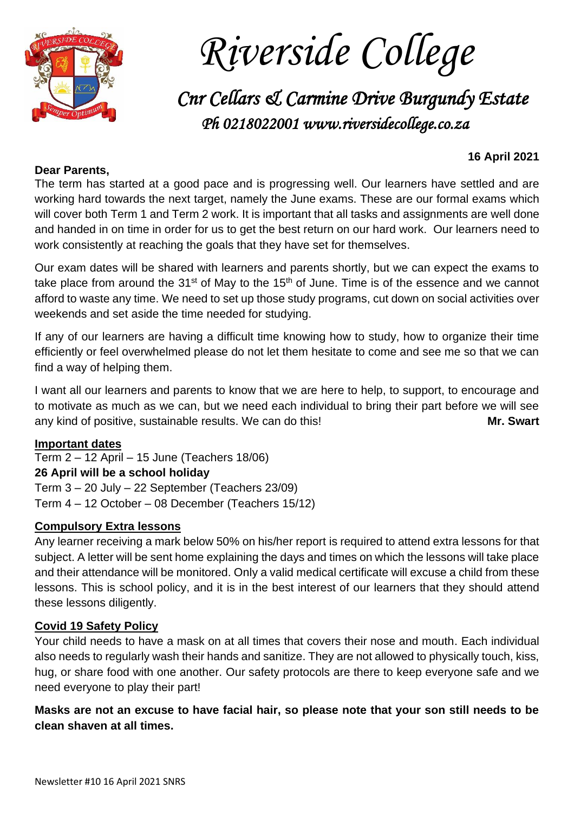

*Riverside College*

*Cnr Cellars & Carmine Drive Burgundy Estate Ph 0218022001 www.riversidecollege.co.za* 

## **Dear Parents,**

## **16 April 2021**

The term has started at a good pace and is progressing well. Our learners have settled and are working hard towards the next target, namely the June exams. These are our formal exams which will cover both Term 1 and Term 2 work. It is important that all tasks and assignments are well done and handed in on time in order for us to get the best return on our hard work. Our learners need to work consistently at reaching the goals that they have set for themselves.

Our exam dates will be shared with learners and parents shortly, but we can expect the exams to take place from around the 31<sup>st</sup> of May to the 15<sup>th</sup> of June. Time is of the essence and we cannot afford to waste any time. We need to set up those study programs, cut down on social activities over weekends and set aside the time needed for studying.

If any of our learners are having a difficult time knowing how to study, how to organize their time efficiently or feel overwhelmed please do not let them hesitate to come and see me so that we can find a way of helping them.

I want all our learners and parents to know that we are here to help, to support, to encourage and to motivate as much as we can, but we need each individual to bring their part before we will see any kind of positive, sustainable results. We can do this! **Mr.** Swart

### **Important dates**

Term 2 – 12 April – 15 June (Teachers 18/06) **26 April will be a school holiday** Term 3 – 20 July – 22 September (Teachers 23/09) Term 4 – 12 October – 08 December (Teachers 15/12)

### **Compulsory Extra lessons**

Any learner receiving a mark below 50% on his/her report is required to attend extra lessons for that subject. A letter will be sent home explaining the days and times on which the lessons will take place and their attendance will be monitored. Only a valid medical certificate will excuse a child from these lessons. This is school policy, and it is in the best interest of our learners that they should attend these lessons diligently.

### **Covid 19 Safety Policy**

Your child needs to have a mask on at all times that covers their nose and mouth. Each individual also needs to regularly wash their hands and sanitize. They are not allowed to physically touch, kiss, hug, or share food with one another. Our safety protocols are there to keep everyone safe and we need everyone to play their part!

**Masks are not an excuse to have facial hair, so please note that your son still needs to be clean shaven at all times.**